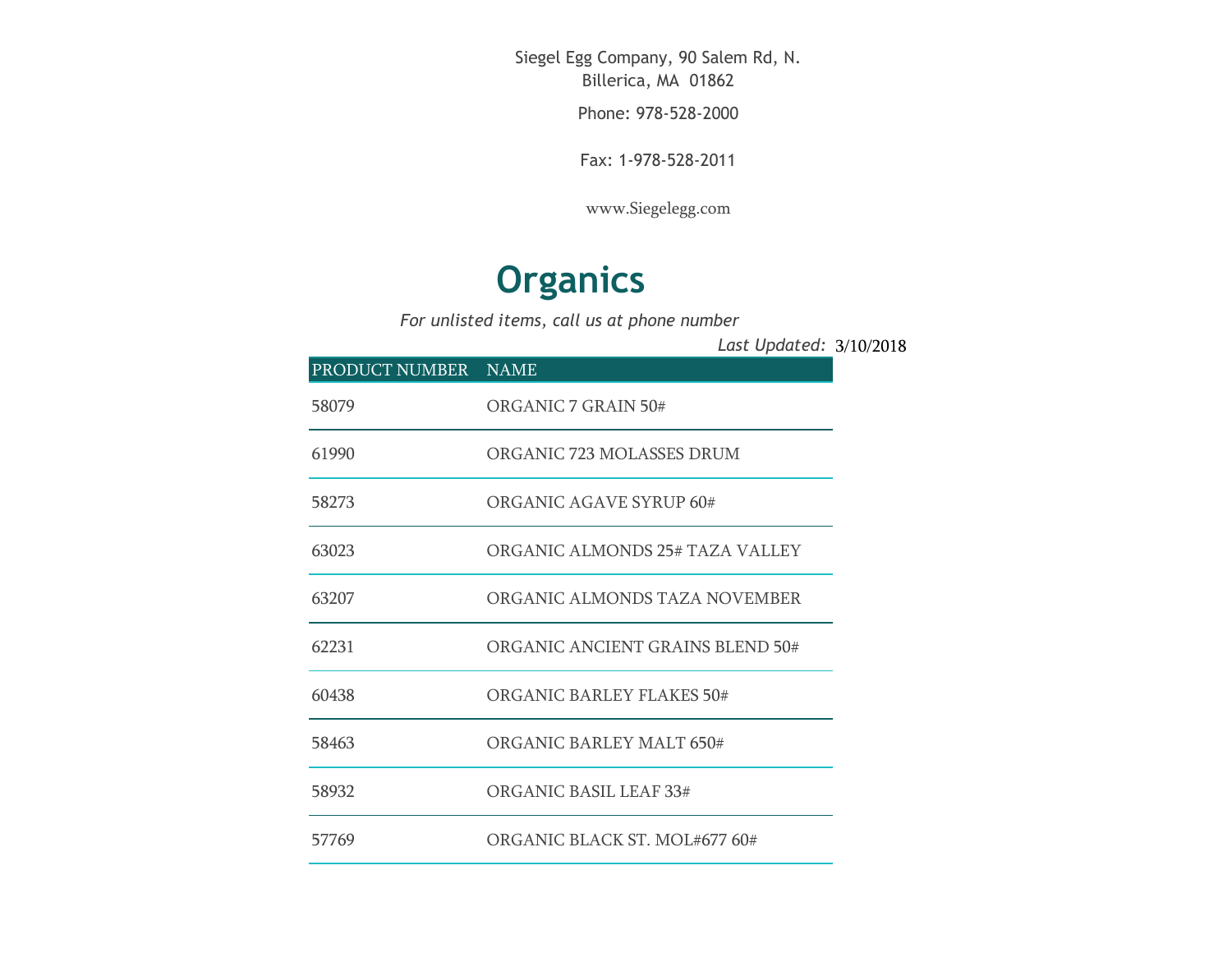Siegel Egg Company, 90 Salem Rd, N. Billerica, MA 01862

Phone: 978-528-2000

Fax: 1-978-528-2011

[www.Siegelegg.com](http://www.siegelegg.com/)

## **Organics**

*For unlisted items, call us at phone number*

3/10/2018 *Last Updated:*

| PRODUCT NUMBER NAME |                                  |
|---------------------|----------------------------------|
| 58079               | ORGANIC 7 GRAIN 50#              |
| 61990               | ORGANIC 723 MOLASSES DRUM        |
| 58273               | ORGANIC AGAVE SYRUP 60#          |
| 63023               | ORGANIC ALMONDS 25# TAZA VALLEY  |
| 63207               | ORGANIC ALMONDS TAZA NOVEMBER    |
| 62231               | ORGANIC ANCIENT GRAINS BLEND 50# |
| 60438               | ORGANIC BARLEY FLAKES 50#        |
| 58463               | ORGANIC BARLEY MALT 650#         |
| 58932               | ORGANIC BASIL LEAF 33#           |
| 57769               | ORGANIC BLACK ST. MOL#677 60#    |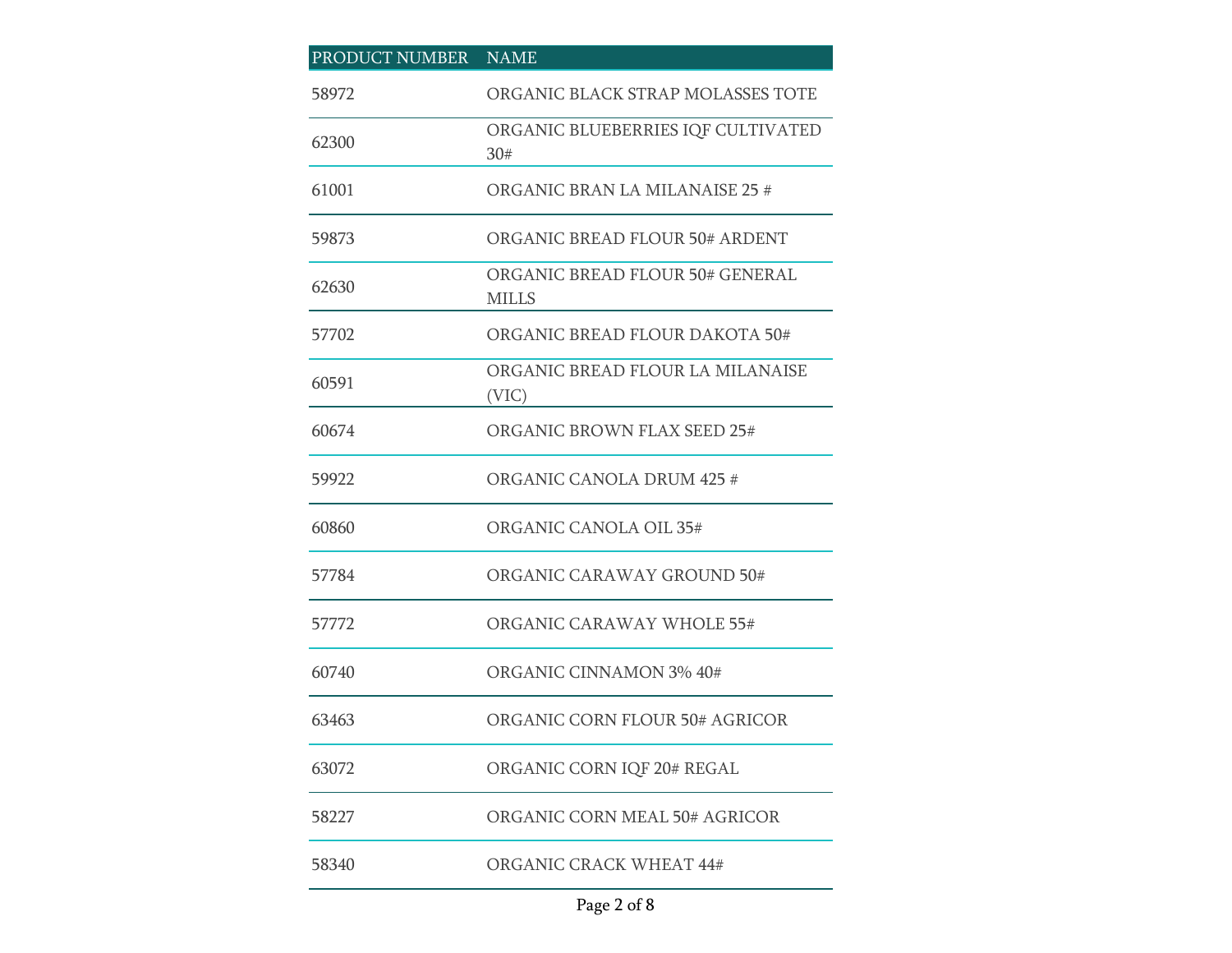## PRODUCT NUMBER NAME ORGANIC BLACK STRAP MOLASSES TOTE ORGANIC BLUEBERRIES IQF CULTIVATED 30# ORGANIC BRAN LA MILANAISE 25 # ORGANIC BREAD FLOUR 50# ARDENT ORGANIC BREAD FLOUR 50# GENERAL MILLS 57702 ORGANIC BREAD FLOUR DAKOTA 50# ORGANIC BREAD FLOUR LA MILANAISE (VIC) ORGANIC BROWN FLAX SEED 25# ORGANIC CANOLA DRUM 425 # ORGANIC CANOLA OIL 35# ORGANIC CARAWAY GROUND 50# ORGANIC CARAWAY WHOLE 55# ORGANIC CINNAMON 3% 40# ORGANIC CORN FLOUR 50# AGRICOR ORGANIC CORN IQF 20# REGAL ORGANIC CORN MEAL 50# AGRICOR ORGANIC CRACK WHEAT 44#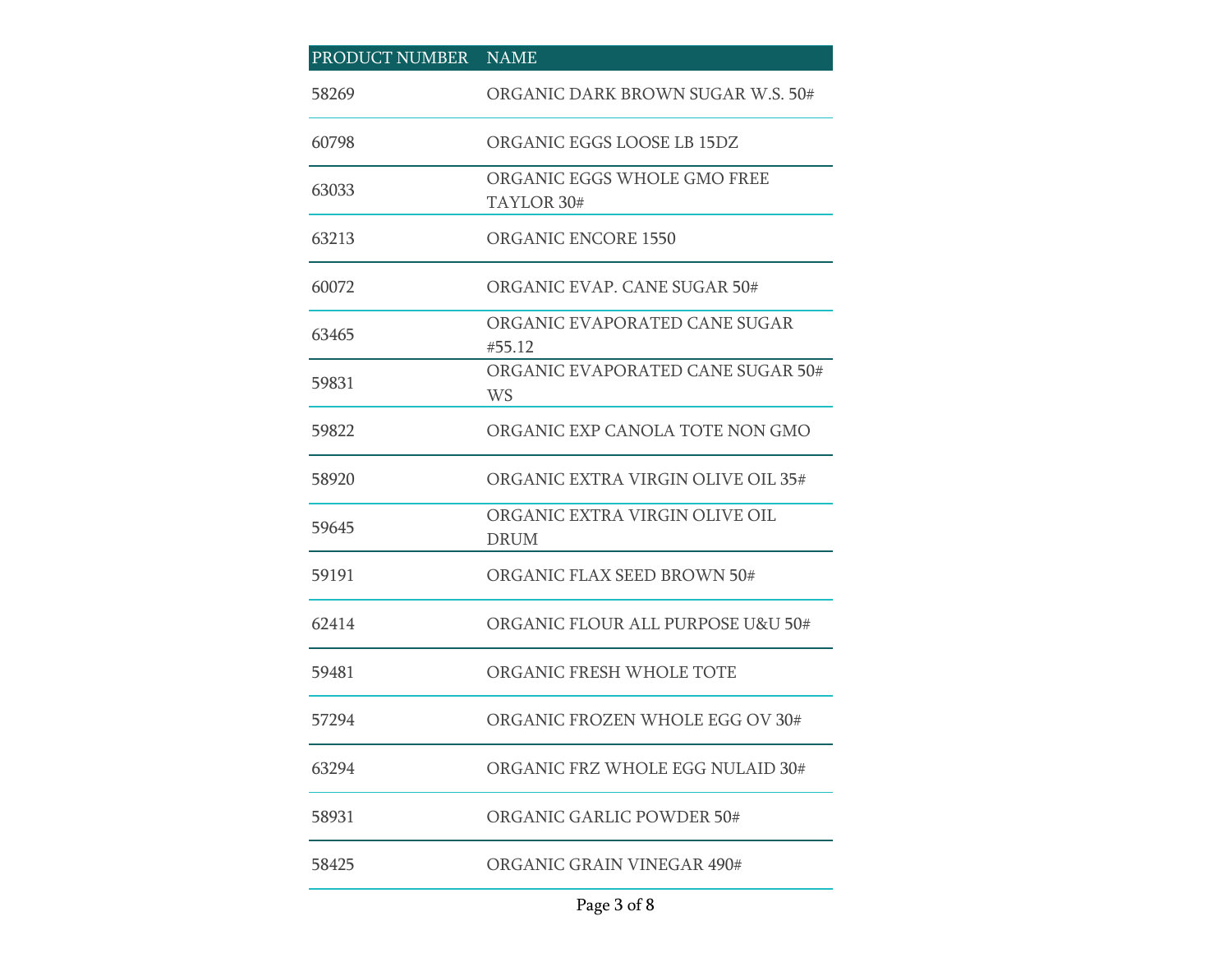| PRODUCT NUMBER NAME |                                                |
|---------------------|------------------------------------------------|
| 58269               | ORGANIC DARK BROWN SUGAR W.S. 50#              |
| 60798               | ORGANIC EGGS LOOSE LB 15DZ                     |
| 63033               | ORGANIC EGGS WHOLE GMO FREE<br>TAYLOR 30#      |
| 63213               | <b>ORGANIC ENCORE 1550</b>                     |
| 60072               | ORGANIC EVAP, CANE SUGAR 50#                   |
| 63465               | ORGANIC EVAPORATED CANE SUGAR<br>#55.12        |
| 59831               | ORGANIC EVAPORATED CANE SUGAR 50#<br><b>WS</b> |
| 59822               | ORGANIC EXP CANOLA TOTE NON GMO                |
| 58920               | ORGANIC EXTRA VIRGIN OLIVE OIL 35#             |
| 59645               | ORGANIC EXTRA VIRGIN OLIVE OIL<br><b>DRUM</b>  |
| 59191               | ORGANIC FLAX SEED BROWN 50#                    |
| 62414               | ORGANIC FLOUR ALL PURPOSE U&U 50#              |
| 59481               | ORGANIC FRESH WHOLE TOTE                       |
| 57294               | ORGANIC FROZEN WHOLE EGG OV 30#                |
| 63294               | ORGANIC FRZ WHOLE EGG NULAID 30#               |
| 58931               | ORGANIC GARLIC POWDER 50#                      |
| 58425               | ORGANIC GRAIN VINEGAR 490#                     |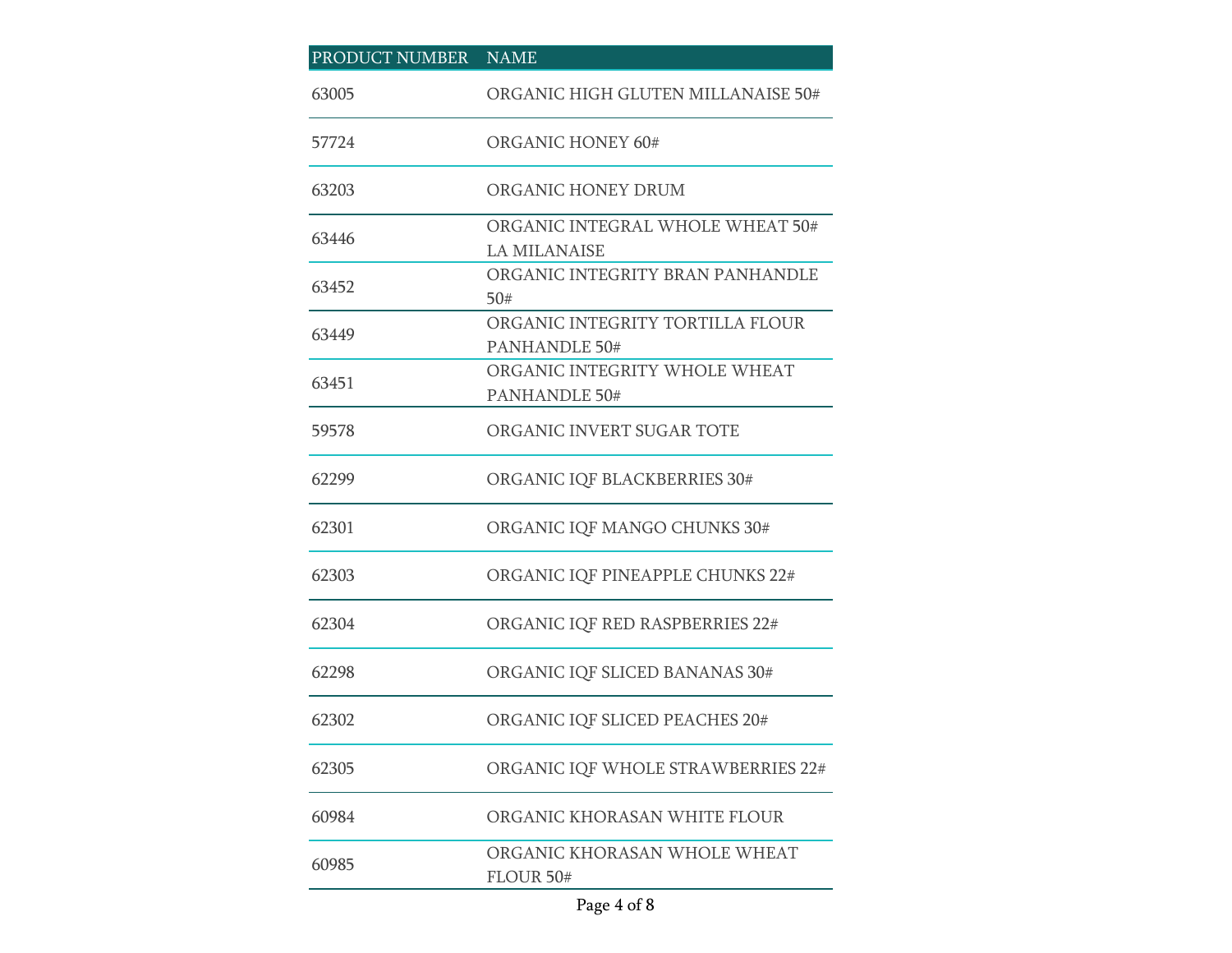## PRODUCT NUMBER NAME 63005 ORGANIC HIGH GLUTEN MILLANAISE 50# 57724 ORGANIC HONEY 60# 63203 ORGANIC HONEY DRUM 63446 ORGANIC INTEGRAL WHOLE WHEAT 50# LA MILANAISE 63452 ORGANIC INTEGRITY BRAN PANHANDLE 50# 63449 ORGANIC INTEGRITY TORTILLA FLOUR PANHANDLE 50# 63451 ORGANIC INTEGRITY WHOLE WHEAT PANHANDLE 50# 59578 ORGANIC INVERT SUGAR TOTE 62299 ORGANIC IQF BLACKBERRIES 30# 62301 ORGANIC IQF MANGO CHUNKS 30# 62303 ORGANIC IQF PINEAPPLE CHUNKS 22# 62304 ORGANIC IQF RED RASPBERRIES 22# 62298 ORGANIC IQF SLICED BANANAS 30# 62302 ORGANIC IQF SLICED PEACHES 20# 62305 ORGANIC IQF WHOLE STRAWBERRIES 22# 60984 ORGANIC KHORASAN WHITE FLOUR 60985 ORGANIC KHORASAN WHOLE WHEAT FLOUR 50#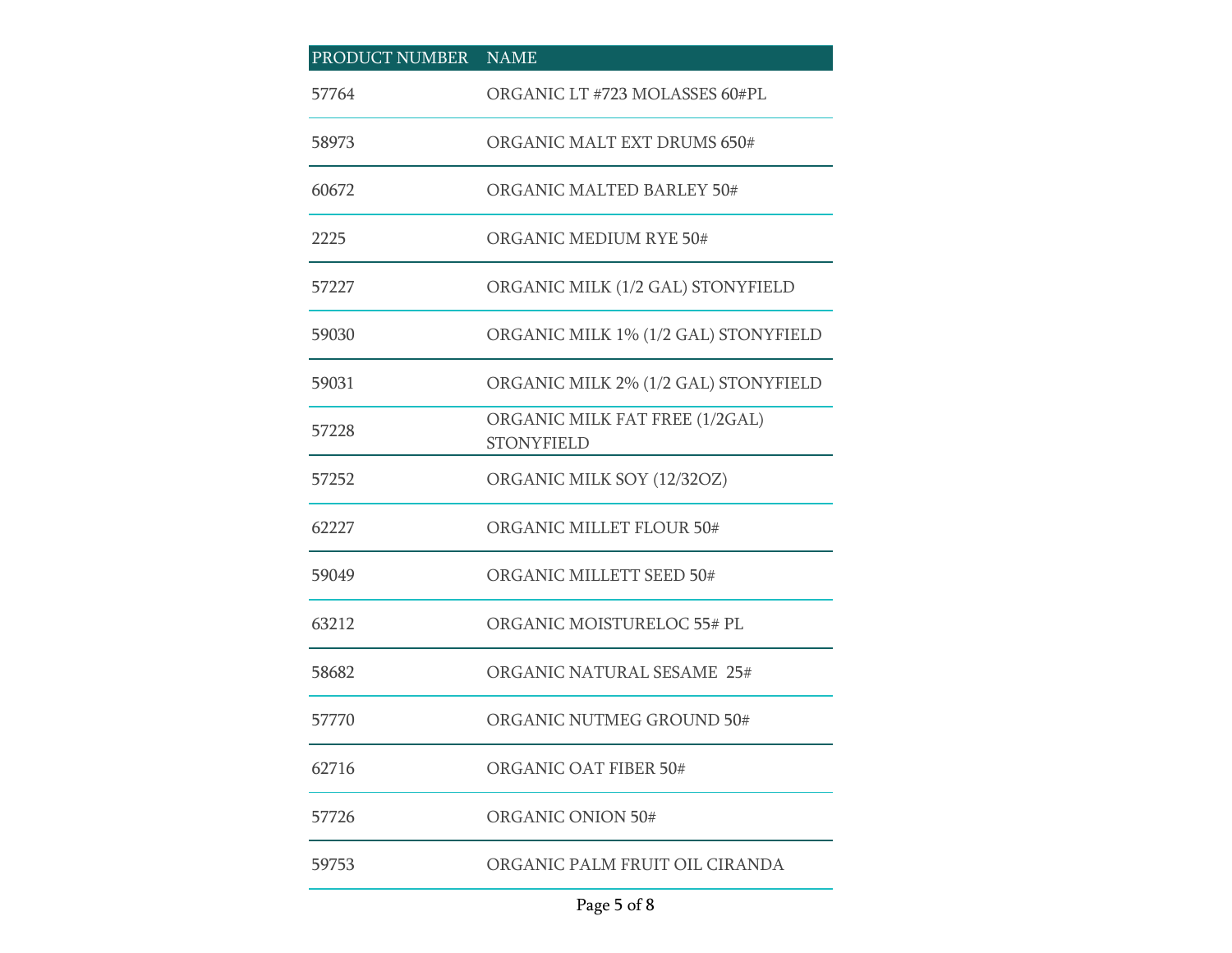| PRODUCT NUMBER | <b>NAME</b>                                         |
|----------------|-----------------------------------------------------|
| 57764          | ORGANIC LT #723 MOLASSES 60#PL                      |
| 58973          | ORGANIC MALT EXT DRUMS 650#                         |
| 60672          | ORGANIC MALTED BARLEY 50#                           |
| 2225           | ORGANIC MEDIUM RYE 50#                              |
| 57227          | ORGANIC MILK (1/2 GAL) STONYFIELD                   |
| 59030          | ORGANIC MILK 1% (1/2 GAL) STONYFIELD                |
| 59031          | ORGANIC MILK 2% (1/2 GAL) STONYFIELD                |
| 57228          | ORGANIC MILK FAT FREE (1/2GAL)<br><b>STONYFIELD</b> |
| 57252          | ORGANIC MILK SOY (12/32OZ)                          |
| 62227          | ORGANIC MILLET FLOUR 50#                            |
| 59049          | ORGANIC MILLETT SEED 50#                            |
| 63212          | ORGANIC MOISTURELOC 55# PL                          |
| 58682          | <b>ORGANIC NATURAL SESAME 25#</b>                   |
| 57770          | ORGANIC NUTMEG GROUND 50#                           |
| 62716          | ORGANIC OAT FIBER 50#                               |
| 57726          | <b>ORGANIC ONION 50#</b>                            |
| 59753          | ORGANIC PALM FRUIT OIL CIRANDA                      |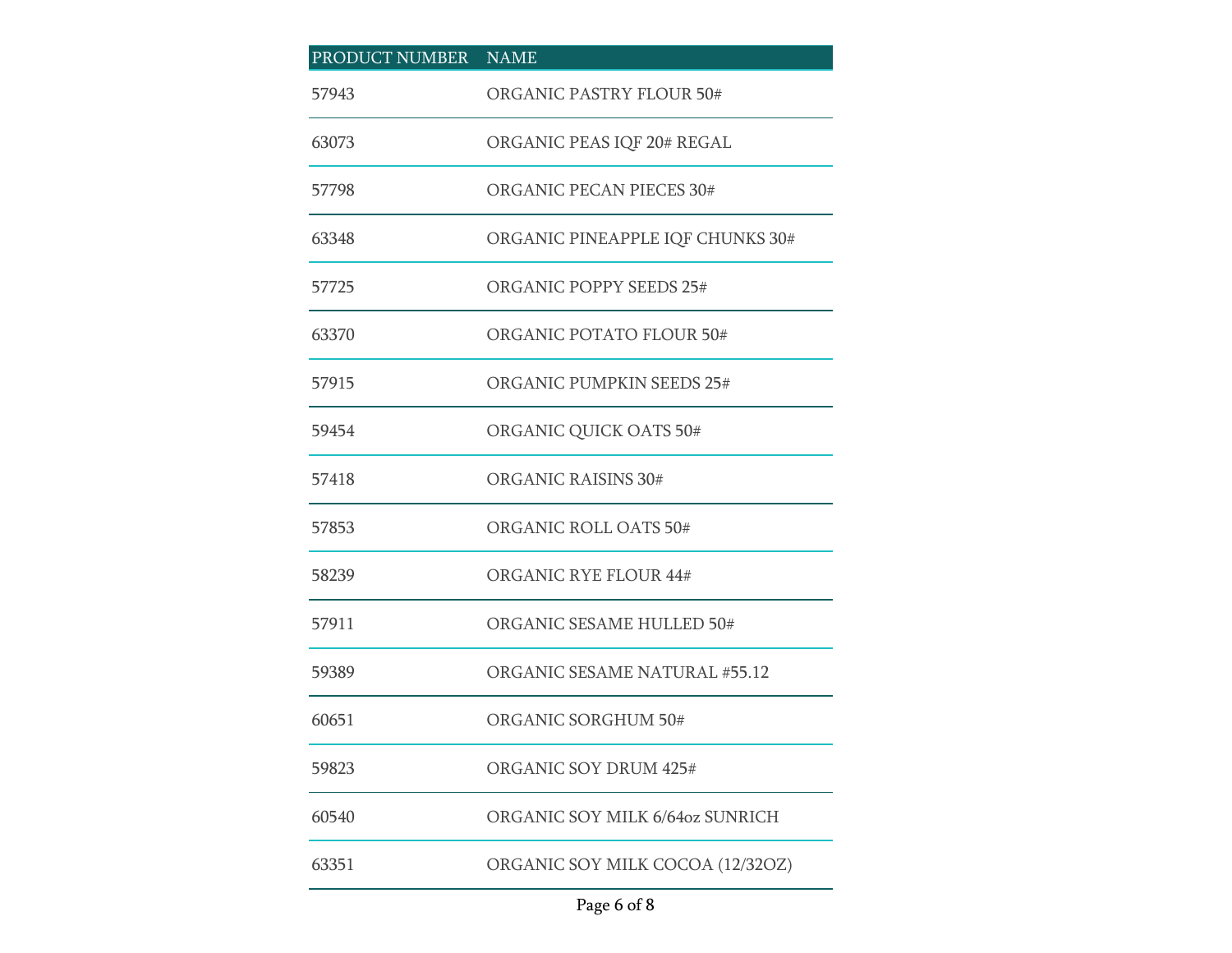| PRODUCT NUMBER NAME |                                      |
|---------------------|--------------------------------------|
| 57943               | <b>ORGANIC PASTRY FLOUR 50#</b>      |
| 63073               | ORGANIC PEAS IQF 20# REGAL           |
| 57798               | ORGANIC PECAN PIECES 30#             |
| 63348               | ORGANIC PINEAPPLE IQF CHUNKS 30#     |
| 57725               | <b>ORGANIC POPPY SEEDS 25#</b>       |
| 63370               | ORGANIC POTATO FLOUR 50#             |
| 57915               | ORGANIC PUMPKIN SEEDS 25#            |
| 59454               | ORGANIC QUICK OATS 50#               |
| 57418               | ORGANIC RAISINS 30#                  |
| 57853               | ORGANIC ROLL OATS 50#                |
| 58239               | <b>ORGANIC RYE FLOUR 44#</b>         |
| 57911               | ORGANIC SESAME HULLED 50#            |
| 59389               | <b>ORGANIC SESAME NATURAL #55.12</b> |
| 60651               | ORGANIC SORGHUM 50#                  |
| 59823               | ORGANIC SOY DRUM 425#                |
| 60540               | ORGANIC SOY MILK 6/64oz SUNRICH      |
| 63351               | ORGANIC SOY MILK COCOA (12/32OZ)     |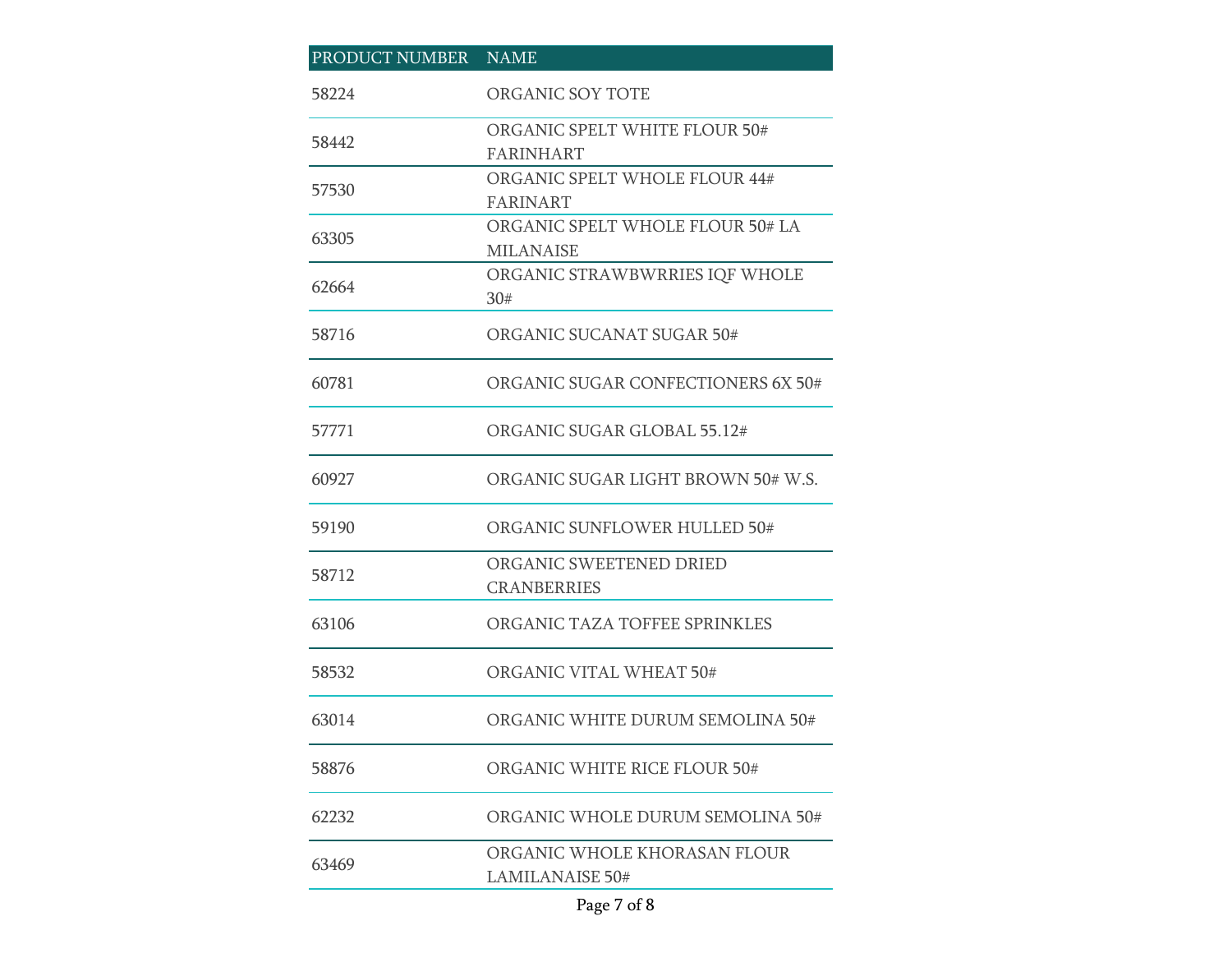| PRODUCT NUMBER NAME |                                                        |
|---------------------|--------------------------------------------------------|
| 58224               | ORGANIC SOY TOTE                                       |
| 58442               | ORGANIC SPELT WHITE FLOUR 50#<br><b>FARINHART</b>      |
| 57530               | ORGANIC SPELT WHOLE FLOUR 44#<br><b>FARINART</b>       |
| 63305               | ORGANIC SPELT WHOLE FLOUR 50# LA<br><b>MILANAISE</b>   |
| 62664               | ORGANIC STRAWBWRRIES IQF WHOLE<br>30#                  |
| 58716               | ORGANIC SUCANAT SUGAR 50#                              |
| 60781               | ORGANIC SUGAR CONFECTIONERS 6X 50#                     |
| 57771               | ORGANIC SUGAR GLOBAL 55.12#                            |
| 60927               | ORGANIC SUGAR LIGHT BROWN 50# W.S.                     |
| 59190               | ORGANIC SUNFLOWER HULLED 50#                           |
| 58712               | ORGANIC SWEETENED DRIED<br><b>CRANBERRIES</b>          |
| 63106               | ORGANIC TAZA TOFFEE SPRINKLES                          |
| 58532               | ORGANIC VITAL WHEAT 50#                                |
| 63014               | ORGANIC WHITE DURUM SEMOLINA 50#                       |
| 58876               | ORGANIC WHITE RICE FLOUR 50#                           |
| 62232               | ORGANIC WHOLE DURUM SEMOLINA 50#                       |
| 63469               | ORGANIC WHOLE KHORASAN FLOUR<br><b>LAMILANAISE 50#</b> |

## Page 7 of 8